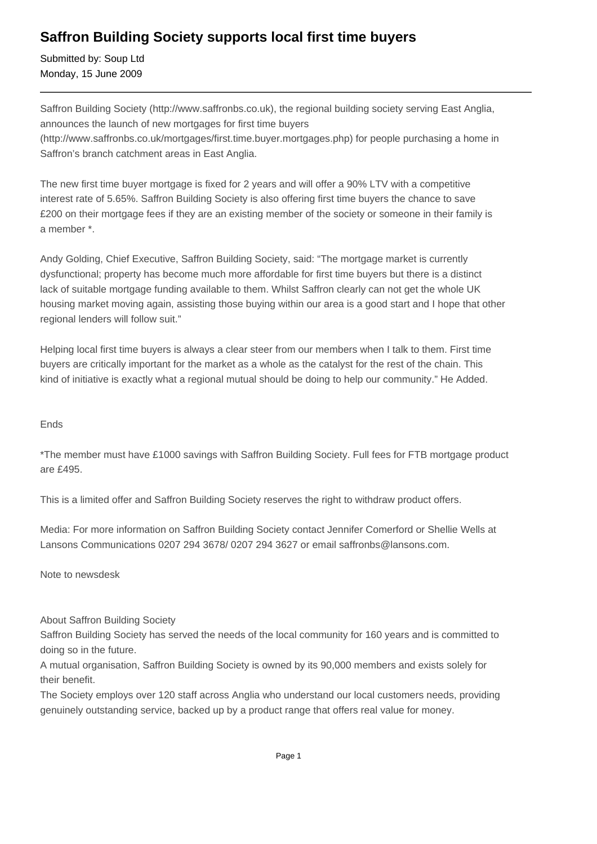## **Saffron Building Society supports local first time buyers**

Submitted by: Soup Ltd Monday, 15 June 2009

Saffron Building Society (http://www.saffronbs.co.uk), the regional building society serving East Anglia, announces the launch of new mortgages for first time buyers (http://www.saffronbs.co.uk/mortgages/first.time.buyer.mortgages.php) for people purchasing a home in Saffron's branch catchment areas in East Anglia.

The new first time buyer mortgage is fixed for 2 years and will offer a 90% LTV with a competitive interest rate of 5.65%. Saffron Building Society is also offering first time buyers the chance to save £200 on their mortgage fees if they are an existing member of the society or someone in their family is a member \*.

Andy Golding, Chief Executive, Saffron Building Society, said: "The mortgage market is currently dysfunctional; property has become much more affordable for first time buyers but there is a distinct lack of suitable mortgage funding available to them. Whilst Saffron clearly can not get the whole UK housing market moving again, assisting those buying within our area is a good start and I hope that other regional lenders will follow suit."

Helping local first time buyers is always a clear steer from our members when I talk to them. First time buyers are critically important for the market as a whole as the catalyst for the rest of the chain. This kind of initiative is exactly what a regional mutual should be doing to help our community." He Added.

## Ends

\*The member must have £1000 savings with Saffron Building Society. Full fees for FTB mortgage product are £495.

This is a limited offer and Saffron Building Society reserves the right to withdraw product offers.

Media: For more information on Saffron Building Society contact Jennifer Comerford or Shellie Wells at Lansons Communications 0207 294 3678/ 0207 294 3627 or email saffronbs@lansons.com.

Note to newsdesk

About Saffron Building Society

Saffron Building Society has served the needs of the local community for 160 years and is committed to doing so in the future.

A mutual organisation, Saffron Building Society is owned by its 90,000 members and exists solely for their benefit.

The Society employs over 120 staff across Anglia who understand our local customers needs, providing genuinely outstanding service, backed up by a product range that offers real value for money.